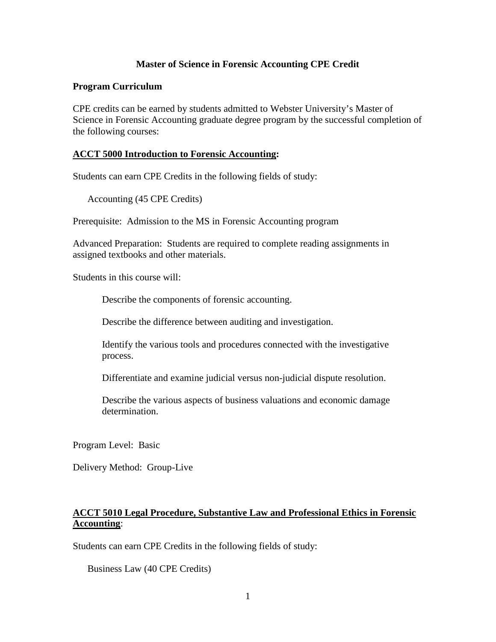# **Master of Science in Forensic Accounting CPE Credit**

### **Program Curriculum**

CPE credits can be earned by students admitted to Webster University's Master of Science in Forensic Accounting graduate degree program by the successful completion of the following courses:

## **ACCT 5000 Introduction to Forensic Accounting:**

Students can earn CPE Credits in the following fields of study:

Accounting (45 CPE Credits)

Prerequisite: Admission to the MS in Forensic Accounting program

Advanced Preparation: Students are required to complete reading assignments in assigned textbooks and other materials.

Students in this course will:

Describe the components of forensic accounting.

Describe the difference between auditing and investigation.

Identify the various tools and procedures connected with the investigative process.

Differentiate and examine judicial versus non-judicial dispute resolution.

Describe the various aspects of business valuations and economic damage determination.

Program Level: Basic

Delivery Method: Group-Live

# **ACCT 5010 Legal Procedure, Substantive Law and Professional Ethics in Forensic Accounting**:

Students can earn CPE Credits in the following fields of study:

Business Law (40 CPE Credits)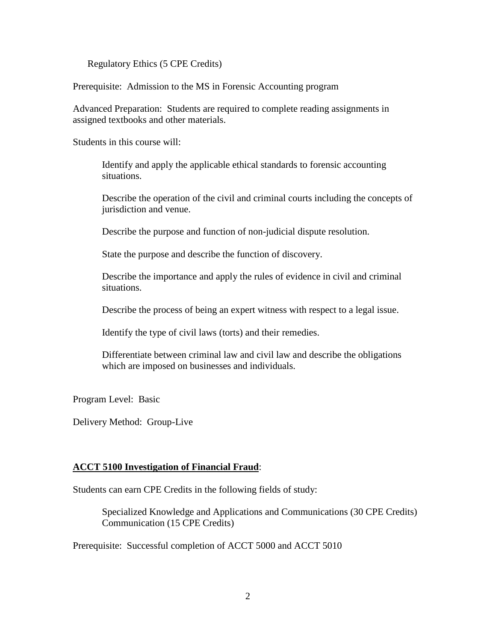Regulatory Ethics (5 CPE Credits)

Prerequisite: Admission to the MS in Forensic Accounting program

Advanced Preparation: Students are required to complete reading assignments in assigned textbooks and other materials.

Students in this course will:

Identify and apply the applicable ethical standards to forensic accounting situations.

Describe the operation of the civil and criminal courts including the concepts of jurisdiction and venue.

Describe the purpose and function of non-judicial dispute resolution.

State the purpose and describe the function of discovery.

Describe the importance and apply the rules of evidence in civil and criminal situations.

Describe the process of being an expert witness with respect to a legal issue.

Identify the type of civil laws (torts) and their remedies.

Differentiate between criminal law and civil law and describe the obligations which are imposed on businesses and individuals.

Program Level: Basic

Delivery Method: Group-Live

# **ACCT 5100 Investigation of Financial Fraud**:

Students can earn CPE Credits in the following fields of study:

Specialized Knowledge and Applications and Communications (30 CPE Credits) Communication (15 CPE Credits)

Prerequisite: Successful completion of ACCT 5000 and ACCT 5010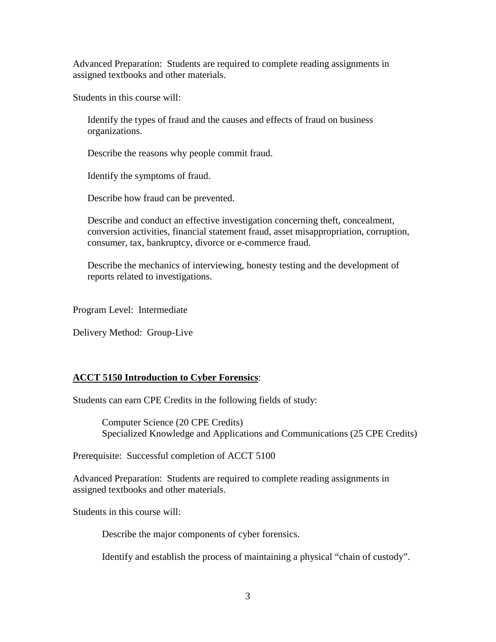Advanced Preparation: Students are required to complete reading assignments in assigned textbooks and other materials.

Students in this course will:

Identify the types of fraud and the causes and effects of fraud on business organizations.

Describe the reasons why people commit fraud.

Identify the symptoms of fraud.

Describe how fraud can be prevented.

Describe and conduct an effective investigation concerning theft, concealment, conversion activities, financial statement fraud, asset misappropriation, corruption, consumer, tax, bankruptcy, divorce or e-commerce fraud.

Describe the mechanics of interviewing, honesty testing and the development of reports related to investigations.

Program Level: Intermediate

Delivery Method: Group-Live

# **ACCT 5150 Introduction to Cyber Forensics**:

Students can earn CPE Credits in the following fields of study:

Computer Science (20 CPE Credits) Specialized Knowledge and Applications and Communications (25 CPE Credits)

Prerequisite: Successful completion of ACCT 5100

Advanced Preparation: Students are required to complete reading assignments in assigned textbooks and other materials.

Students in this course will:

Describe the major components of cyber forensics.

Identify and establish the process of maintaining a physical "chain of custody".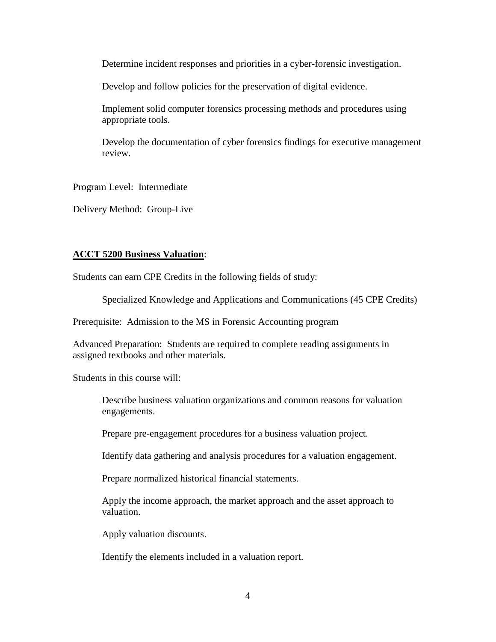Determine incident responses and priorities in a cyber-forensic investigation.

Develop and follow policies for the preservation of digital evidence.

Implement solid computer forensics processing methods and procedures using appropriate tools.

Develop the documentation of cyber forensics findings for executive management review.

Program Level: Intermediate

Delivery Method: Group-Live

### **ACCT 5200 Business Valuation**:

Students can earn CPE Credits in the following fields of study:

Specialized Knowledge and Applications and Communications (45 CPE Credits)

Prerequisite: Admission to the MS in Forensic Accounting program

Advanced Preparation: Students are required to complete reading assignments in assigned textbooks and other materials.

Students in this course will:

Describe business valuation organizations and common reasons for valuation engagements.

Prepare pre-engagement procedures for a business valuation project.

Identify data gathering and analysis procedures for a valuation engagement.

Prepare normalized historical financial statements.

Apply the income approach, the market approach and the asset approach to valuation.

Apply valuation discounts.

Identify the elements included in a valuation report.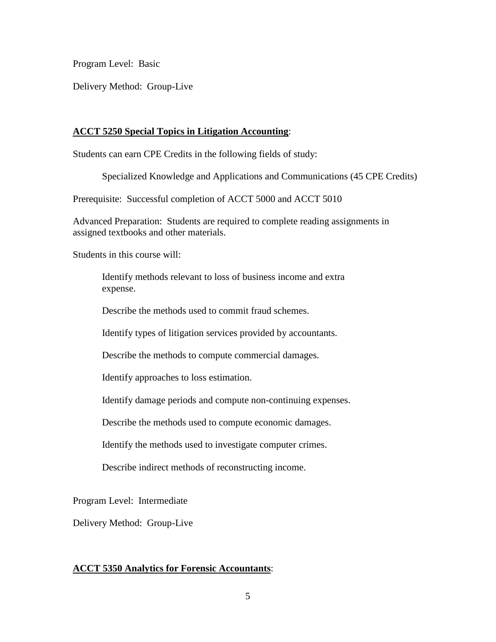Program Level: Basic

Delivery Method: Group-Live

# **ACCT 5250 Special Topics in Litigation Accounting**:

Students can earn CPE Credits in the following fields of study:

Specialized Knowledge and Applications and Communications (45 CPE Credits)

Prerequisite: Successful completion of ACCT 5000 and ACCT 5010

Advanced Preparation: Students are required to complete reading assignments in assigned textbooks and other materials.

Students in this course will:

Identify methods relevant to loss of business income and extra expense.

Describe the methods used to commit fraud schemes.

Identify types of litigation services provided by accountants.

Describe the methods to compute commercial damages.

Identify approaches to loss estimation.

Identify damage periods and compute non-continuing expenses.

Describe the methods used to compute economic damages.

Identify the methods used to investigate computer crimes.

Describe indirect methods of reconstructing income.

Program Level: Intermediate

Delivery Method: Group-Live

# **ACCT 5350 Analytics for Forensic Accountants**: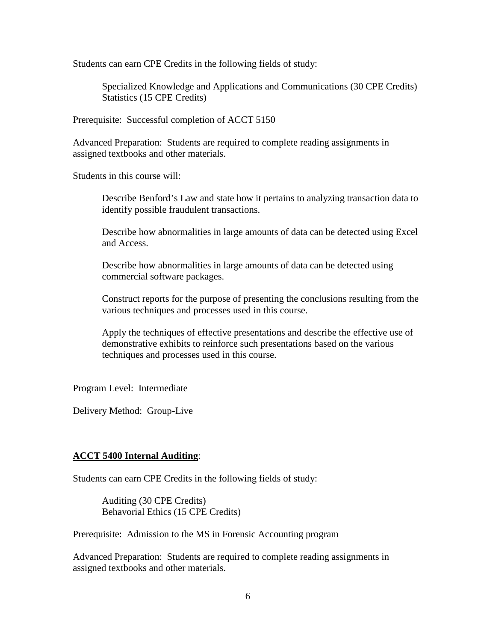Students can earn CPE Credits in the following fields of study:

Specialized Knowledge and Applications and Communications (30 CPE Credits) Statistics (15 CPE Credits)

Prerequisite: Successful completion of ACCT 5150

Advanced Preparation: Students are required to complete reading assignments in assigned textbooks and other materials.

Students in this course will:

Describe Benford's Law and state how it pertains to analyzing transaction data to identify possible fraudulent transactions.

Describe how abnormalities in large amounts of data can be detected using Excel and Access.

Describe how abnormalities in large amounts of data can be detected using commercial software packages.

Construct reports for the purpose of presenting the conclusions resulting from the various techniques and processes used in this course.

Apply the techniques of effective presentations and describe the effective use of demonstrative exhibits to reinforce such presentations based on the various techniques and processes used in this course.

Program Level: Intermediate

Delivery Method: Group-Live

#### **ACCT 5400 Internal Auditing**:

Students can earn CPE Credits in the following fields of study:

Auditing (30 CPE Credits) Behavorial Ethics (15 CPE Credits)

Prerequisite: Admission to the MS in Forensic Accounting program

Advanced Preparation: Students are required to complete reading assignments in assigned textbooks and other materials.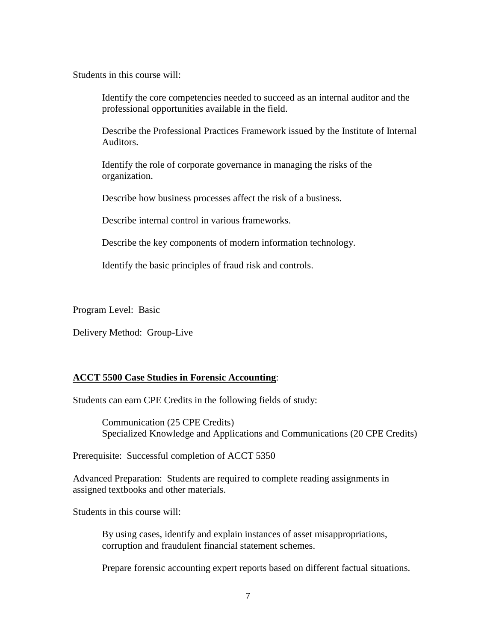Students in this course will:

Identify the core competencies needed to succeed as an internal auditor and the professional opportunities available in the field.

Describe the Professional Practices Framework issued by the Institute of Internal Auditors.

Identify the role of corporate governance in managing the risks of the organization.

Describe how business processes affect the risk of a business.

Describe internal control in various frameworks.

Describe the key components of modern information technology.

Identify the basic principles of fraud risk and controls.

Program Level: Basic

Delivery Method: Group-Live

### **ACCT 5500 Case Studies in Forensic Accounting**:

Students can earn CPE Credits in the following fields of study:

Communication (25 CPE Credits) Specialized Knowledge and Applications and Communications (20 CPE Credits)

Prerequisite: Successful completion of ACCT 5350

Advanced Preparation: Students are required to complete reading assignments in assigned textbooks and other materials.

Students in this course will:

By using cases, identify and explain instances of asset misappropriations, corruption and fraudulent financial statement schemes.

Prepare forensic accounting expert reports based on different factual situations.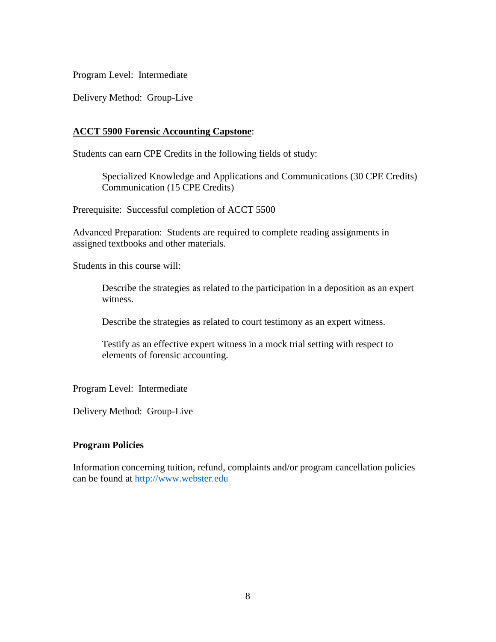Program Level: Intermediate

Delivery Method: Group-Live

# **ACCT 5900 Forensic Accounting Capstone**:

Students can earn CPE Credits in the following fields of study:

Specialized Knowledge and Applications and Communications (30 CPE Credits) Communication (15 CPE Credits)

Prerequisite: Successful completion of ACCT 5500

Advanced Preparation: Students are required to complete reading assignments in assigned textbooks and other materials.

Students in this course will:

Describe the strategies as related to the participation in a deposition as an expert witness.

Describe the strategies as related to court testimony as an expert witness.

Testify as an effective expert witness in a mock trial setting with respect to elements of forensic accounting.

Program Level: Intermediate

Delivery Method: Group-Live

### **Program Policies**

Information concerning tuition, refund, complaints and/or program cancellation policies can be found at [http://www.webster.edu](http://www.webster.edu/)